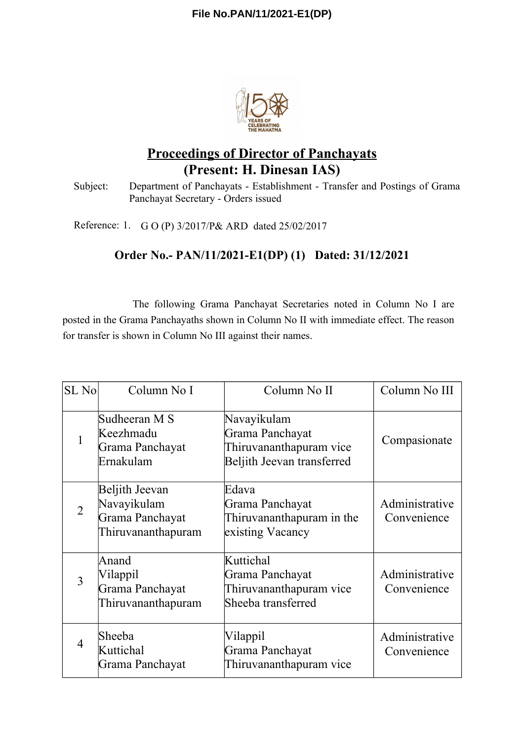

# **Proceedings of Director of Panchayats (Present: H. Dinesan IAS)**

Subject: Department of Panchayats - Establishment - Transfer and Postings of Grama Panchayat Secretary - Orders issued

Reference: 1. G O (P) 3/2017/P& ARD dated 25/02/2017

## **Order No.- PAN/11/2021-E1(DP) (1) Dated: 31/12/2021**

The following Grama Panchayat Secretaries noted in Column No I are posted in the Grama Panchayaths shown in Column No II with immediate effect. The reason for transfer is shown in Column No III against their names.

| SL No          | Column No I                                                            | Column No II                                                                            | Column No III                 |
|----------------|------------------------------------------------------------------------|-----------------------------------------------------------------------------------------|-------------------------------|
|                | Sudheeran M S<br>Keezhmadu<br>Grama Panchayat<br>Ernakulam             | Navayikulam<br>Grama Panchayat<br>Thiruvananthapuram vice<br>Beljith Jeevan transferred | Compasionate                  |
| $\overline{2}$ | Beljith Jeevan<br>Navayikulam<br>Grama Panchayat<br>Thiruvananthapuram | Edava<br>Grama Panchayat<br>Thiruvananthapuram in the<br>existing Vacancy               | Administrative<br>Convenience |
| 3              | Anand<br>Vilappil<br>Grama Panchayat<br>Thiruvananthapuram             | Kuttichal<br>Grama Panchayat<br>Thiruvananthapuram vice<br>Sheeba transferred           | Administrative<br>Convenience |
| $\overline{4}$ | Sheeba<br>Kuttichal<br>Grama Panchayat                                 | Vilappil<br>Grama Panchayat<br>Thiruvananthapuram vice                                  | Administrative<br>Convenience |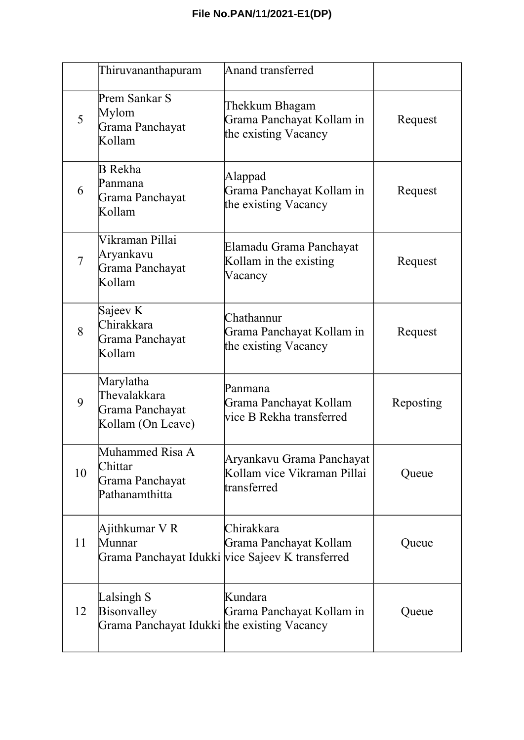|                | Thiruvananthapuram                                                       | <b>Anand transferred</b>                                                                 |           |
|----------------|--------------------------------------------------------------------------|------------------------------------------------------------------------------------------|-----------|
| 5              | Prem Sankar S<br>Mylom<br>Grama Panchayat<br>Kollam                      | Thekkum Bhagam<br>Grama Panchayat Kollam in<br>the existing Vacancy                      | Request   |
| 6              | B Rekha<br>Panmana<br>Grama Panchayat<br>Kollam                          | Alappad<br>Grama Panchayat Kollam in<br>the existing Vacancy                             | Request   |
| $\overline{7}$ | Vikraman Pillai<br>Aryankavu<br>Grama Panchayat<br>Kollam                | Elamadu Grama Panchayat<br>Kollam in the existing<br>Vacancy                             | Request   |
| 8              | Sajeev K<br>Chirakkara<br>Grama Panchayat<br>Kollam                      | Chathannur<br>Grama Panchayat Kollam in<br>the existing Vacancy                          | Request   |
| 9              | Marylatha<br>Thevalakkara<br>Grama Panchayat<br>Kollam (On Leave)        | Panmana<br>Grama Panchayat Kollam<br>vice B Rekha transferred                            | Reposting |
| 10             | Muhammed Risa A<br>Chittar<br>Grama Panchayat<br>Pathanamthitta          | Aryankavu Grama Panchayat<br>Kollam vice Vikraman Pillai<br>transferred                  | Queue     |
| 11             | Ajithkumar V R<br>Munnar                                                 | Chirakkara<br>Grama Panchayat Kollam<br>Grama Panchayat Idukki vice Sajeev K transferred | Queue     |
| 12             | Lalsingh S<br>Bisonvalley<br>Grama Panchayat Idukki the existing Vacancy | Kundara<br>Grama Panchayat Kollam in                                                     | Queue     |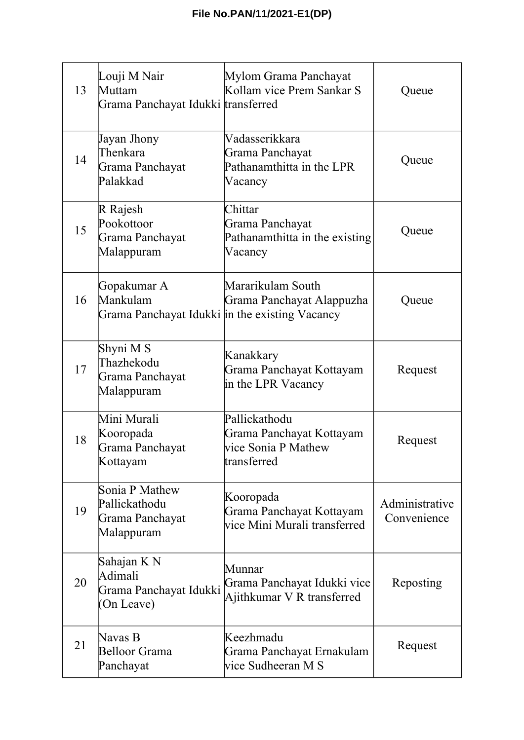| 13 | Louji M Nair<br>Muttam<br>Grama Panchayat Idukki transferred              | Mylom Grama Panchayat<br>Kollam vice Prem Sankar S                              | Queue                         |
|----|---------------------------------------------------------------------------|---------------------------------------------------------------------------------|-------------------------------|
| 14 | Jayan Jhony<br>Thenkara<br>Grama Panchayat<br>Palakkad                    | Vadasserikkara<br>Grama Panchayat<br>Pathanamthitta in the LPR<br>Vacancy       | Queue                         |
| 15 | R Rajesh<br>Pookottoor<br>Grama Panchayat<br>Malappuram                   | Chittar<br>Grama Panchayat<br>Pathanamthitta in the existing<br>Vacancy         | Queue                         |
| 16 | Gopakumar A<br>Mankulam<br>Grama Panchayat Idukki in the existing Vacancy | Mararikulam South<br>Grama Panchayat Alappuzha                                  | Queue                         |
| 17 | Shyni M S<br>Thazhekodu<br>Grama Panchayat<br>Malappuram                  | Kanakkary<br>Grama Panchayat Kottayam<br>in the LPR Vacancy                     | Request                       |
| 18 | Mini Murali<br>Kooropada<br>Grama Panchayat<br>Kottayam                   | Pallickathodu<br>Grama Panchayat Kottayam<br>vice Sonia P Mathew<br>transferred | Request                       |
| 19 | Sonia P Mathew<br>Pallickathodu<br>Grama Panchayat<br>Malappuram          | Kooropada<br>Grama Panchayat Kottayam<br>vice Mini Murali transferred           | Administrative<br>Convenience |
| 20 | Sahajan K N<br>Adimali<br>Grama Panchayat Idukki<br>(On Leave)            | Munnar<br>Grama Panchayat Idukki vice<br>Ajithkumar V R transferred             | Reposting                     |
| 21 | Navas B<br><b>Belloor Grama</b><br>Panchayat                              | Keezhmadu<br>Grama Panchayat Ernakulam<br>vice Sudheeran M S                    | Request                       |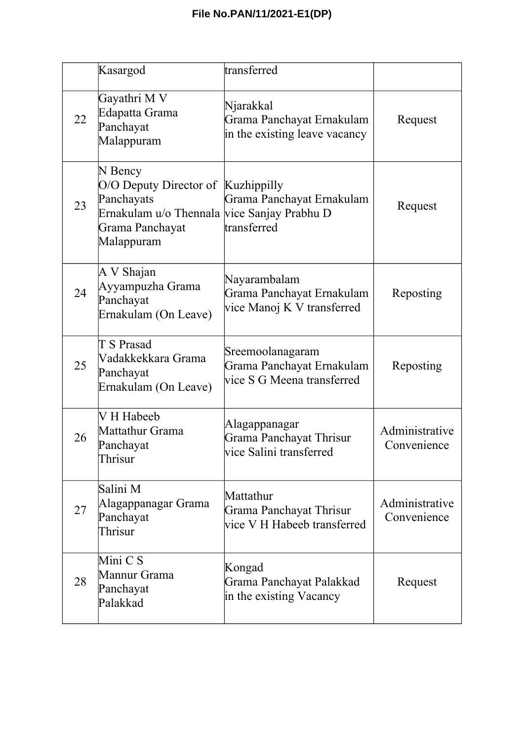|    | Kasargod                                                                                                                                    | transferred                                                                 |                               |
|----|---------------------------------------------------------------------------------------------------------------------------------------------|-----------------------------------------------------------------------------|-------------------------------|
| 22 | Gayathri M V<br>Edapatta Grama<br>Panchayat<br>Malappuram                                                                                   | Njarakkal<br>Grama Panchayat Ernakulam<br>in the existing leave vacancy     | Request                       |
| 23 | N Bency<br>O/O Deputy Director of Kuzhippilly<br>Panchayats<br>Ernakulam u/o Thennala vice Sanjay Prabhu D<br>Grama Panchayat<br>Malappuram | Grama Panchayat Ernakulam<br>transferred                                    | Request                       |
| 24 | A V Shajan<br>Ayyampuzha Grama<br>Panchayat<br>Ernakulam (On Leave)                                                                         | Nayarambalam<br>Grama Panchayat Ernakulam<br>vice Manoj K V transferred     | Reposting                     |
| 25 | T S Prasad<br>Vadakkekkara Grama<br>Panchayat<br>Ernakulam (On Leave)                                                                       | Sreemoolanagaram<br>Grama Panchayat Ernakulam<br>vice S G Meena transferred | Reposting                     |
| 26 | V H Habeeb<br>Mattathur Grama<br>Panchayat<br>Thrisur                                                                                       | Alagappanagar<br>Grama Panchayat Thrisur<br>vice Salini transferred         | Administrative<br>Convenience |
| 27 | Salini M<br>Alagappanagar Grama<br>Panchayat<br>Thrisur                                                                                     | Mattathur<br>Grama Panchayat Thrisur<br>vice V H Habeeb transferred         | Administrative<br>Convenience |
| 28 | Mini C S<br>Mannur Grama<br>Panchayat<br>Palakkad                                                                                           | Kongad<br>Grama Panchayat Palakkad<br>in the existing Vacancy               | Request                       |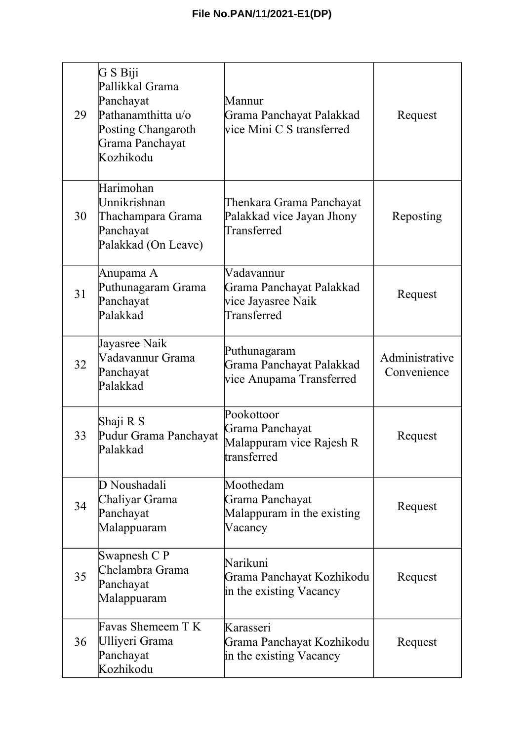| 29 | G S Biji<br>Pallikkal Grama<br>Panchayat<br>Pathanamthitta u/o<br><b>Posting Changaroth</b><br>Grama Panchayat<br>Kozhikodu | Mannur<br>Grama Panchayat Palakkad<br>vice Mini C S transferred             | Request                       |
|----|-----------------------------------------------------------------------------------------------------------------------------|-----------------------------------------------------------------------------|-------------------------------|
| 30 | Harimohan<br>Unnikrishnan<br>Thachampara Grama<br>Panchayat<br>Palakkad (On Leave)                                          | Thenkara Grama Panchayat<br>Palakkad vice Jayan Jhony<br>Transferred        | Reposting                     |
| 31 | Anupama A<br>Puthunagaram Grama<br>Panchayat<br>Palakkad                                                                    | Vadavannur<br>Grama Panchayat Palakkad<br>vice Jayasree Naik<br>Transferred | Request                       |
| 32 | Jayasree Naik<br>Vadavannur Grama<br>Panchayat<br>Palakkad                                                                  | Puthunagaram<br>Grama Panchayat Palakkad<br>vice Anupama Transferred        | Administrative<br>Convenience |
| 33 | Shaji R S<br>Pudur Grama Panchayat<br>Palakkad                                                                              | Pookottoor<br>Grama Panchayat<br>Malappuram vice Rajesh R<br>transferred    | Request                       |
| 34 | D Noushadali<br>Chaliyar Grama<br>Panchayat<br>Malappuaram                                                                  | Moothedam<br>Grama Panchayat<br>Malappuram in the existing<br>Vacancy       | Request                       |
| 35 | Swapnesh C P<br>Chelambra Grama<br>Panchayat<br>Malappuaram                                                                 | Narikuni<br>Grama Panchayat Kozhikodu<br>in the existing Vacancy            | Request                       |
| 36 | Favas Shemeem T K<br>Ulliyeri Grama<br>Panchayat<br>Kozhikodu                                                               | Karasseri<br>Grama Panchayat Kozhikodu<br>in the existing Vacancy           | Request                       |